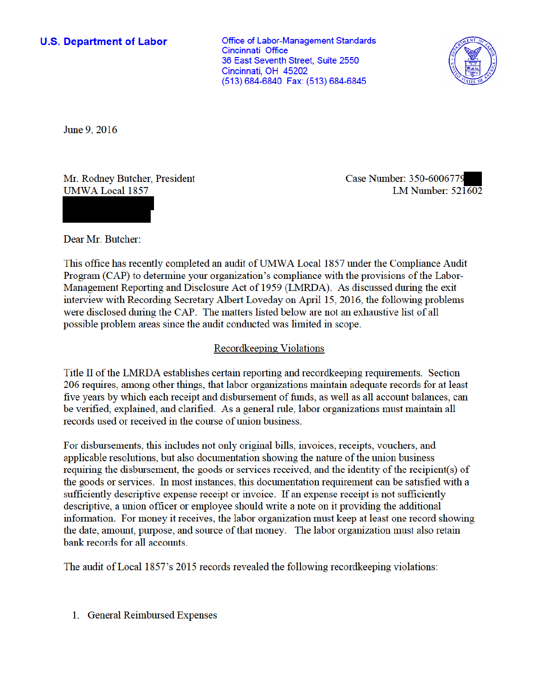#### **U.S. Department of Labor**

**Office of Labor-Management Standards** Cincinnati Office 36 East Seventh Street. Suite 2550 Cincinnati, OH 45202 (513) 684-6840 Fax: (513) 684-6845



June 9, 2016

Mr. Rodney Butcher, President **UMWA Local 1857** 

Case Number: 350-6006779 LM Number:  $52\overline{1602}$ 

Dear Mr. Butcher:

This office has recently completed an audit of UMWA Local 1857 under the Compliance Audit Program (CAP) to determine your organization's compliance with the provisions of the Labor-Management Reporting and Disclosure Act of 1959 (LMRDA). As discussed during the exit interview with Recording Secretary Albert Loveday on April 15, 2016, the following problems were disclosed during the CAP. The matters listed below are not an exhaustive list of all possible problem areas since the audit conducted was limited in scope.

## Recordkeeping Violations

Title II of the LMRDA establishes certain reporting and record keeping requirements. Section 206 requires, among other things, that labor organizations maintain adequate records for at least five years by which each receipt and disbursement of funds, as well as all account balances, can be verified, explained, and clarified. As a general rule, labor organizations must maintain all records used or received in the course of union business.

For disbursements, this includes not only original bills, invoices, receipts, vouchers, and applicable resolutions, but also documentation showing the nature of the union business requiring the disbursement, the goods or services received, and the identity of the recipient(s) of the goods or services. In most instances, this documentation requirement can be satisfied with a sufficiently descriptive expense receipt or invoice. If an expense receipt is not sufficiently descriptive, a union officer or employee should write a note on it providing the additional information. For money it receives, the labor organization must keep at least one record showing the date, amount, purpose, and source of that money. The labor organization must also retain bank records for all accounts.

The audit of Local 1857's 2015 records revealed the following record keeping violations:

1. General Reimbursed Expenses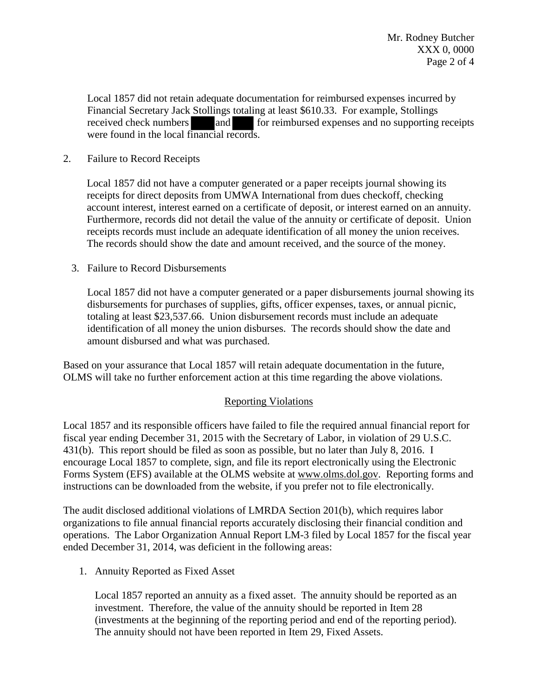Local 1857 did not retain adequate documentation for reimbursed expenses incurred by Financial Secretary Jack Stollings totaling at least \$610.33. For example, Stollings received check numbers and for reimbursed expenses and no supporting receipts were found in the local financial records.

## 2. Failure to Record Receipts

Local 1857 did not have a computer generated or a paper receipts journal showing its receipts for direct deposits from UMWA International from dues checkoff, checking account interest, interest earned on a certificate of deposit, or interest earned on an annuity. Furthermore, records did not detail the value of the annuity or certificate of deposit. Union receipts records must include an adequate identification of all money the union receives. The records should show the date and amount received, and the source of the money.

## 3. Failure to Record Disbursements

Local 1857 did not have a computer generated or a paper disbursements journal showing its disbursements for purchases of supplies, gifts, officer expenses, taxes, or annual picnic, totaling at least \$23,537.66. Union disbursement records must include an adequate identification of all money the union disburses. The records should show the date and amount disbursed and what was purchased.

Based on your assurance that Local 1857 will retain adequate documentation in the future, OLMS will take no further enforcement action at this time regarding the above violations.

# Reporting Violations

Local 1857 and its responsible officers have failed to file the required annual financial report for fiscal year ending December 31, 2015 with the Secretary of Labor, in violation of 29 U.S.C. 431(b). This report should be filed as soon as possible, but no later than July 8, 2016. I encourage Local 1857 to complete, sign, and file its report electronically using the Electronic Forms System (EFS) available at the OLMS website at www.olms.dol.gov. Reporting forms and instructions can be downloaded from the website, if you prefer not to file electronically.

The audit disclosed additional violations of LMRDA Section 201(b), which requires labor organizations to file annual financial reports accurately disclosing their financial condition and operations. The Labor Organization Annual Report LM-3 filed by Local 1857 for the fiscal year ended December 31, 2014, was deficient in the following areas:

1. Annuity Reported as Fixed Asset

Local 1857 reported an annuity as a fixed asset. The annuity should be reported as an investment. Therefore, the value of the annuity should be reported in Item 28 (investments at the beginning of the reporting period and end of the reporting period). The annuity should not have been reported in Item 29, Fixed Assets.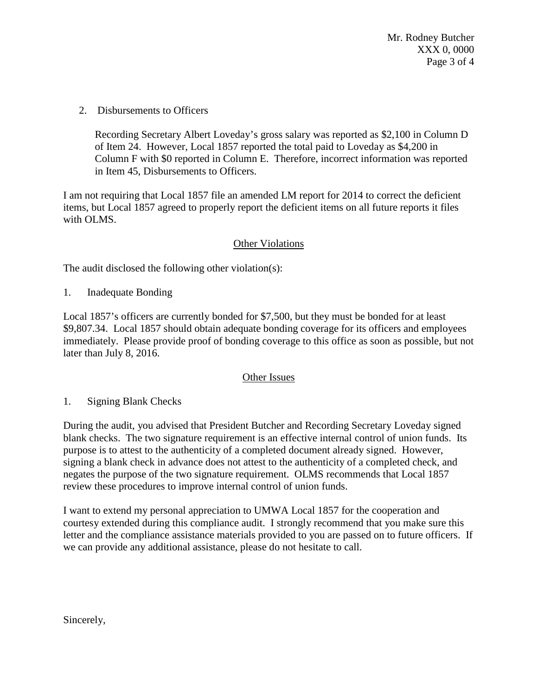Mr. Rodney Butcher XXX 0, 0000 Page 3 of 4

2. Disbursements to Officers

Recording Secretary Albert Loveday's gross salary was reported as \$2,100 in Column D of Item 24. However, Local 1857 reported the total paid to Loveday as \$4,200 in Column F with \$0 reported in Column E. Therefore, incorrect information was reported in Item 45, Disbursements to Officers.

I am not requiring that Local 1857 file an amended LM report for 2014 to correct the deficient items, but Local 1857 agreed to properly report the deficient items on all future reports it files with OLMS.

## Other Violations

The audit disclosed the following other violation(s):

1. Inadequate Bonding

Local 1857's officers are currently bonded for \$7,500, but they must be bonded for at least \$9,807.34. Local 1857 should obtain adequate bonding coverage for its officers and employees immediately. Please provide proof of bonding coverage to this office as soon as possible, but not later than July 8, 2016.

#### Other Issues

1. Signing Blank Checks

During the audit, you advised that President Butcher and Recording Secretary Loveday signed blank checks. The two signature requirement is an effective internal control of union funds. Its purpose is to attest to the authenticity of a completed document already signed. However, signing a blank check in advance does not attest to the authenticity of a completed check, and negates the purpose of the two signature requirement. OLMS recommends that Local 1857 review these procedures to improve internal control of union funds.

I want to extend my personal appreciation to UMWA Local 1857 for the cooperation and courtesy extended during this compliance audit. I strongly recommend that you make sure this letter and the compliance assistance materials provided to you are passed on to future officers. If we can provide any additional assistance, please do not hesitate to call.

Sincerely,